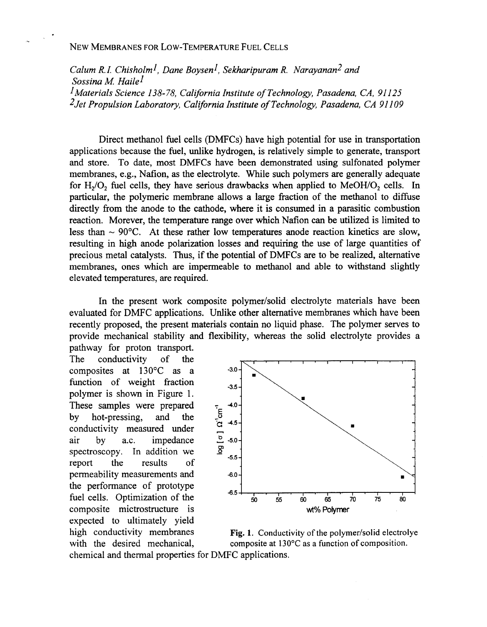# NEW MEMBRANES FOR LOW-TEMPERATURE FUEL CELLS

*Calum R.I. Chisholml, Dane Boysen], Sekharipuram R. Narayanan2 and Sossina M Hailel ]Materials Science 138- 78, California Institute of Technology, Pasadena, CA, 91 I25 2Jet Propulsion Laboratory, California Institute of Technology, Pasadena, CA 91 I09* 

Direct methanol fuel cells (DMFCs) have high potential for use in transportation applications because the fuel, unlike hydrogen, is relatively simple to generate, transport and store. To date, most DMFCs have been demonstrated using sulfonated polymer membranes, e.g., Nafion, as the electrolyte. While such polymers are generally adequate for  $H<sub>2</sub>/O<sub>2</sub>$  fuel cells, they have serious drawbacks when applied to MeOH/O<sub>2</sub> cells. In particular, the polymeric membrane allows a large fraction of the methanol to diffuse directly from the anode to the cathode, where it is consumed in a parasitic combustion reaction. Morever, the temperature range over which Nafion can be utilized **is** limited to less than  $\sim 90^{\circ}$ C. At these rather low temperatures anode reaction kinetics are slow. resulting in high anode polarization losses and requiring the use of large quantities of precious metal catalysts. Thus, if the potential of DMFCs are to be realized, alternative membranes, ones which are impermeable to methanol and able to withstand slightly elevated temperatures, are required.

In the present work composite polymer/solid electrolyte materials have been evaluated for DMFC applications. Unlike other alternative membranes which have been recently proposed, the present materials contain no liquid phase. The polymer serves to provide mechanical stability and flexibility, whereas the solid electrolyte provides a pathway for proton transport.

The conductivity  $of$ the composites at **130°C** as a function of weight fraction polymer is shown in Figure 1. These samples were prepared  $\tau$  4.0by hot-pressing, and the  $\frac{5}{6}$ <br>conductivity measured under by hot-pressing, and the conductivity measured under  $\begin{bmatrix} G & 4.5 \\ \vdots & \vdots & \vdots \\ G & 5.0 \end{bmatrix}$ spectroscopy. In addition we report the results οf permeability measurements and *-6.0*<br>the performance of prototype  $-6.5$ fuel cells. Optimization of the expected to ultimately yield



high conductivity membranes **Fig. 1**. Conductivity of the polymer/solid electrolye with the desired mechanical, composite at 130°C as a function of composition.

chemical and thermal properties for DMFC applications.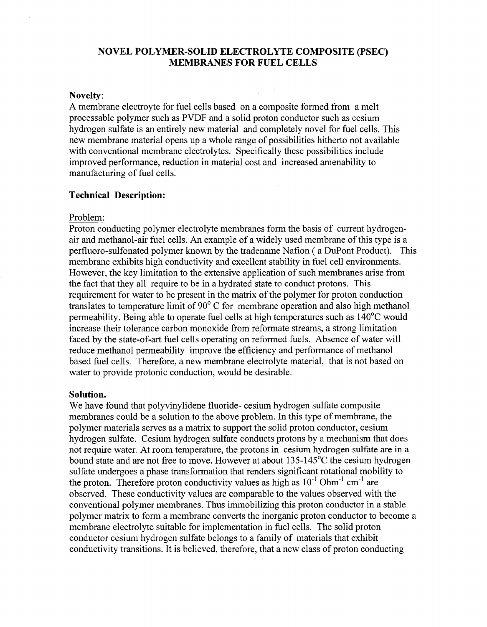# **NOVEL POLYMER-SOLID ELECTROLYTE COMPOSITE (PSEC) MEMBRANES FOR FUEL CELLS**

### **Novelty:**

A membrane electroyte for fuel cells based on a composite formed from a melt processable polymer such as PVDF and a solid proton conductor such as cesium hydrogen sulfate is an entirely new material and completely novel for fuel cells. This new membrane material opens up a whole range of possibilities hitherto not available with conventional membrane electrolytes. Specifically these possibilities include improved performance, reduction in material cost and increased amenability to manufacturing of fuel cells.

# **Technical Description:**

### Problem:

Proton conducting polymer electrolyte membranes form the basis of current hydrogenair and methanol-air fuel cells. An example of a widely used membrane of this type is a perfluoro-sulfonated polymer known by the tradename Nafion ( a DuPont Product). This membrane exhibits high conductivity and excellent stability in fuel cell environments. However, the key limitation to the extensive application of such membranes arise from the fact that they all require to be in a hydrated state to conduct protons. This requirement for water to be present in the matrix of the polymer for proton conduction translates to temperature limit of 90" C for membrane operation and also high methanol permeability. Being able to operate fuel cells at high temperatures such as 140°C would increase their tolerance carbon monoxide from reformate streams, a strong limitation faced by the state-of-art fuel cells operating on reformed fuels. Absence of water will reduce methanol permeability improve the efficiency and performance of methanol based fuel cells. Therefore, a new membrane electrolyte material, that is not based on water to provide protonic conduction, would be desirable.

### **Solution.**

We have found that polyvinylidene fluoride- cesium hydrogen sulfate composite membranes could be a solution to the above problem. In this type of membrane, the polymer materials serves as a matrix to support the solid proton conductor, cesium hydrogen sulfate. Cesium hydrogen sulfate conducts protons by a mechanism that does not require water. At room temperature, the protons in cesium hydrogen sulfate are in a bound state and are not free to move. However at about  $135-145^{\circ}$ C the cesium hydrogen sulfate undergoes a phase transformation that renders significant rotational mobility to the proton. Therefore proton conductivity values as high as  $10^{-1}$  Ohm<sup>-1</sup> cm<sup>-1</sup> are observed. These conductivity values are comparable to the values observed with the conventional polymer membranes. Thus immobilizing this proton conductor in a stable polymer matrix to form a membrane converts the inorganic proton conductor to become a membrane electrolyte suitable for implementation in fuel cells. The solid proton conductor cesium hydrogen sulfate belongs to a family of materials that exhibit conductivity transitions. It is believed, therefore, that a new class of proton conducting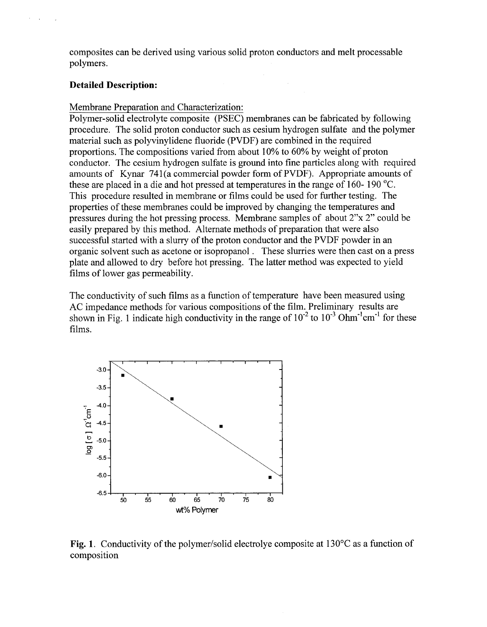composites can be derived using various solid proton conductors and melt processable polymers.

# **Detailed Description:**

### Membrane Preparation and Characterization:

Polymer-solid electrolyte composite (PSEC) membranes can be fabricated by following procedure. The solid proton conductor such as cesium hydrogen sulfate and the polymer material such as polyvinylidene fluoride (PVDF) are combined in the required proportions. The compositions varied from about 10% to 60% by weight of proton conductor. The cesium hydrogen sulfate is ground into fine particles along with required amounts of Kynar 741(a commercial powder form of PVDF). Appropriate amounts of these are placed in a die and hot pressed at temperatures in the range of 160- 190 'C. This procedure resulted in membrane or films could be used for hrther testing. The properties of these membranes could be improved by changing the temperatures and pressures during the hot pressing process. Membrane samples of about 2"x 2" could be easily prepared by this method. Alternate methods of preparation that were also successful started with a slurry of the proton conductor and the PVDF powder in an organic solvent such as acetone or isopropanol . These slurries were then cast on a press plate and allowed to dry before hot pressing. The latter method was expected to yield films of lower gas permeability.

The conductivity of such films as a function of temperature have been measured using AC impedance methods for various compositions of the film. Preliminary results are shown in Fig. 1 indicate high conductivity in the range of  $10^{-2}$  to  $10^{-3}$  Ohm<sup>-1</sup> cm<sup>-1</sup> for these films.



**Fig. 1.** Conductivity of the polymer/solid electrolye composite at 130°C as a function of composition